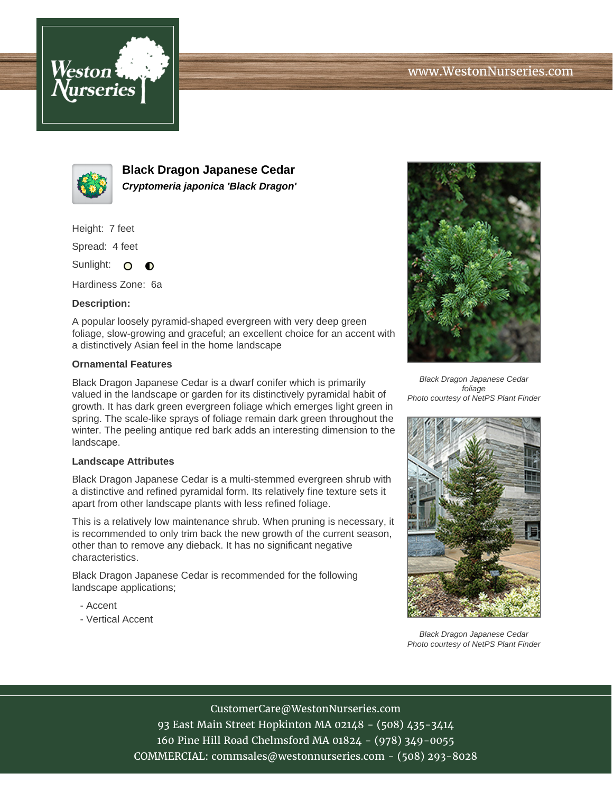



**Black Dragon Japanese Cedar Cryptomeria japonica 'Black Dragon'**

Height: 7 feet

Spread: 4 feet

Sunlight: O  $\bullet$ 

Hardiness Zone: 6a

## **Description:**

A popular loosely pyramid-shaped evergreen with very deep green foliage, slow-growing and graceful; an excellent choice for an accent with a distinctively Asian feel in the home landscape

## **Ornamental Features**

Black Dragon Japanese Cedar is a dwarf conifer which is primarily valued in the landscape or garden for its distinctively pyramidal habit of growth. It has dark green evergreen foliage which emerges light green in spring. The scale-like sprays of foliage remain dark green throughout the winter. The peeling antique red bark adds an interesting dimension to the landscape.

## **Landscape Attributes**

Black Dragon Japanese Cedar is a multi-stemmed evergreen shrub with a distinctive and refined pyramidal form. Its relatively fine texture sets it apart from other landscape plants with less refined foliage.

This is a relatively low maintenance shrub. When pruning is necessary, it is recommended to only trim back the new growth of the current season, other than to remove any dieback. It has no significant negative characteristics.

Black Dragon Japanese Cedar is recommended for the following landscape applications;

- Accent
- Vertical Accent



Black Dragon Japanese Cedar foliage Photo courtesy of NetPS Plant Finder



Black Dragon Japanese Cedar Photo courtesy of NetPS Plant Finder

CustomerCare@WestonNurseries.com 93 East Main Street Hopkinton MA 02148 - (508) 435-3414 160 Pine Hill Road Chelmsford MA 01824 - (978) 349-0055 COMMERCIAL: commsales@westonnurseries.com - (508) 293-8028